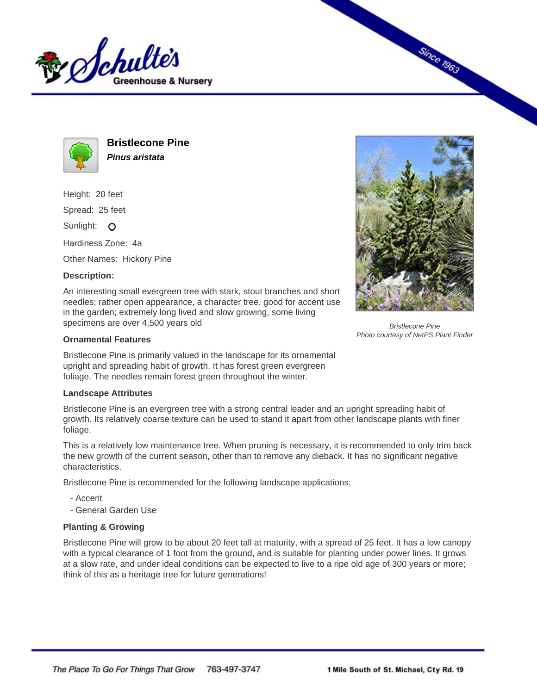



**Bristlecone Pine Pinus aristata**

Height: 20 feet

Spread: 25 feet

Sunlight: O

Hardiness Zone: 4a

Other Names: Hickory Pine

## **Description:**

An interesting small evergreen tree with stark, stout branches and short needles; rather open appearance, a character tree, good for accent use in the garden; extremely long lived and slow growing, some living specimens are over 4,500 years old

## **Ornamental Features**

Bristlecone Pine is primarily valued in the landscape for its ornamental upright and spreading habit of growth. It has forest green evergreen foliage. The needles remain forest green throughout the winter.

## **Landscape Attributes**

Bristlecone Pine is an evergreen tree with a strong central leader and an upright spreading habit of growth. Its relatively coarse texture can be used to stand it apart from other landscape plants with finer foliage.

This is a relatively low maintenance tree. When pruning is necessary, it is recommended to only trim back the new growth of the current season, other than to remove any dieback. It has no significant negative characteristics.

Bristlecone Pine is recommended for the following landscape applications;

- Accent
- General Garden Use

## **Planting & Growing**

Bristlecone Pine will grow to be about 20 feet tall at maturity, with a spread of 25 feet. It has a low canopy with a typical clearance of 1 foot from the ground, and is suitable for planting under power lines. It grows at a slow rate, and under ideal conditions can be expected to live to a ripe old age of 300 years or more; think of this as a heritage tree for future generations!



**Since 1963** 

Bristlecone Pine Photo courtesy of NetPS Plant Finder